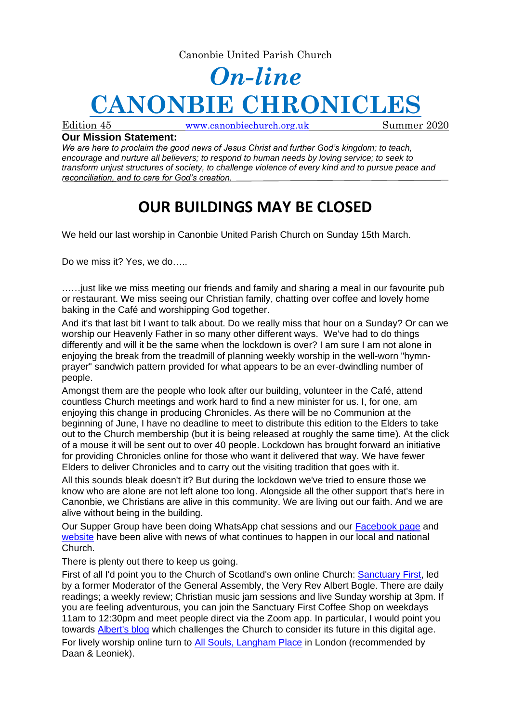Canonbie United Parish Church

## *On-line* **CANONBIE CHRONICL**

Edition 45 [www.canonbiechurch.org.uk](http://www.canonbiechurch.org.uk/) Summer 2020

## **Our Mission Statement:**

*We are here to proclaim the good news of Jesus Christ and further God's kingdom; to teach, encourage and nurture all believers; to respond to human needs by loving service; to seek to transform unjust structures of society, to challenge violence of every kind and to pursue peace and reconciliation, and to care for God's creation.*

## **OUR BUILDINGS MAY BE CLOSED**

We held our last worship in Canonbie United Parish Church on Sunday 15th March.

Do we miss it? Yes, we do.....

……just like we miss meeting our friends and family and sharing a meal in our favourite pub or restaurant. We miss seeing our Christian family, chatting over coffee and lovely home baking in the Café and worshipping God together.

And it's that last bit I want to talk about. Do we really miss that hour on a Sunday? Or can we worship our Heavenly Father in so many other different ways. We've had to do things differently and will it be the same when the lockdown is over? I am sure I am not alone in enjoying the break from the treadmill of planning weekly worship in the well-worn "hymnprayer" sandwich pattern provided for what appears to be an ever-dwindling number of people.

Amongst them are the people who look after our building, volunteer in the Café, attend countless Church meetings and work hard to find a new minister for us. I, for one, am enjoying this change in producing Chronicles. As there will be no Communion at the beginning of June, I have no deadline to meet to distribute this edition to the Elders to take out to the Church membership (but it is being released at roughly the same time). At the click of a mouse it will be sent out to over 40 people. Lockdown has brought forward an initiative for providing Chronicles online for those who want it delivered that way. We have fewer Elders to deliver Chronicles and to carry out the visiting tradition that goes with it.

All this sounds bleak doesn't it? But during the lockdown we've tried to ensure those we know who are alone are not left alone too long. Alongside all the other support that's here in Canonbie, we Christians are alive in this community. We are living out our faith. And we are alive without being in the building.

Our Supper Group have been doing WhatsApp chat sessions and our [Facebook page](https://www.facebook.com/search/top/?q=canonbie%20and%20liddesdale%20parish%20churches) and [website](https://canonbiechurch.org.uk/) have been alive with news of what continues to happen in our local and national Church.

There is plenty out there to keep us going.

First of all I'd point you to the Church of Scotland's own online Church: [Sanctuary First,](https://www.sanctuaryfirst.org.uk/home) led by a former Moderator of the General Assembly, the Very Rev Albert Bogle. There are daily readings; a weekly review; Christian music jam sessions and live Sunday worship at 3pm. If you are feeling adventurous, you can join the Sanctuary First Coffee Shop on weekdays 11am to 12:30pm and meet people direct via the Zoom app. In particular, I would point you towards **Albert's blog** which challenges the Church to consider its future in this digital age. For lively worship online turn to [All Souls, Langham Place](https://www.allsouls.org/) in London (recommended by Daan & Leoniek).